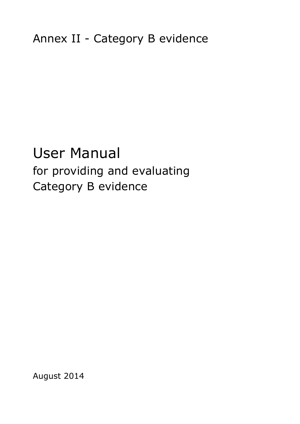# User Manual for providing and evaluating Category B evidence

August 2014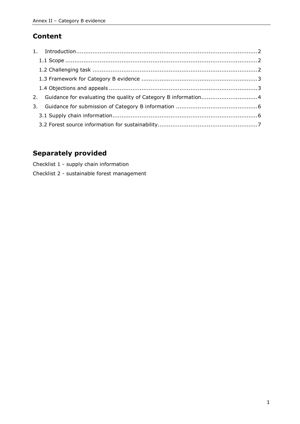# **Content**

| 2. Guidance for evaluating the quality of Category B information4 |  |
|-------------------------------------------------------------------|--|
|                                                                   |  |
|                                                                   |  |
|                                                                   |  |

# **Separately provided**

Checklist 1 - supply chain information

Checklist 2 - sustainable forest management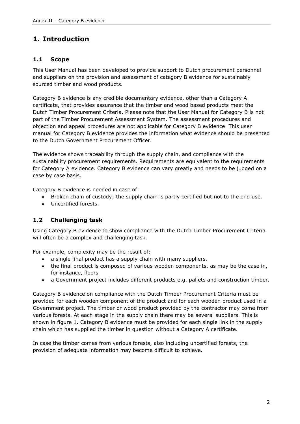# <span id="page-2-0"></span>**1. Introduction**

## <span id="page-2-1"></span>**1.1 Scope**

This User Manual has been developed to provide support to Dutch procurement personnel and suppliers on the provision and assessment of category B evidence for sustainably sourced timber and wood products.

Category B evidence is any credible documentary evidence, other than a Category A certificate, that provides assurance that the timber and wood based products meet the Dutch Timber Procurement Criteria. Please note that the User Manual for Category B is not part of the Timber Procurement Assessment System. The assessment procedures and objection and appeal procedures are not applicable for Category B evidence. This user manual for Category B evidence provides the information what evidence should be presented to the Dutch Government Procurement Officer.

The evidence shows traceability through the supply chain, and compliance with the sustainability procurement requirements. Requirements are equivalent to the requirements for Category A evidence. Category B evidence can vary greatly and needs to be judged on a case by case basis.

Category B evidence is needed in case of:

- Broken chain of custody; the supply chain is partly certified but not to the end use.
- Uncertified forests.

## <span id="page-2-2"></span>**1.2 Challenging task**

Using Category B evidence to show compliance with the Dutch Timber Procurement Criteria will often be a complex and challenging task.

For example, complexity may be the result of:

- a single final product has a supply chain with many suppliers.
- the final product is composed of various wooden components, as may be the case in, for instance, floors
- a Government project includes different products e.g. pallets and construction timber.

Category B evidence on compliance with the Dutch Timber Procurement Criteria must be provided for each wooden component of the product and for each wooden product used in a Government project. The timber or wood product provided by the contractor may come from various forests. At each stage in the supply chain there may be several suppliers. This is shown in figure 1. Category B evidence must be provided for each single link in the supply chain which has supplied the timber in question without a Category A certificate.

In case the timber comes from various forests, also including uncertified forests, the provision of adequate information may become difficult to achieve.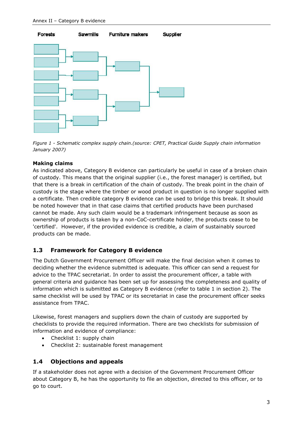

*Figure 1 - Schematic complex supply chain.(source: CPET, Practical Guide Supply chain information January 2007)*

#### **Making claims**

As indicated above, Category B evidence can particularly be useful in case of a broken chain of custody. This means that the original supplier (i.e., the forest manager) is certified, but that there is a break in certification of the chain of custody. The break point in the chain of custody is the stage where the timber or wood product in question is no longer supplied with a certificate. Then credible category B evidence can be used to bridge this break. It should be noted however that in that case claims that certified products have been purchased cannot be made. Any such claim would be a trademark infringement because as soon as ownership of products is taken by a non-CoC-certificate holder, the products cease to be 'certified'. However, if the provided evidence is credible, a claim of sustainably sourced products can be made.

#### <span id="page-3-0"></span>**1.3 Framework for Category B evidence**

The Dutch Government Procurement Officer will make the final decision when it comes to deciding whether the evidence submitted is adequate. This officer can send a request for advice to the TPAC secretariat. In order to assist the procurement officer, a table with general criteria and guidance has been set up for assessing the completeness and quality of information which is submitted as Category B evidence (refer to table 1 in section 2). The same checklist will be used by TPAC or its secretariat in case the procurement officer seeks assistance from TPAC.

Likewise, forest managers and suppliers down the chain of custody are supported by checklists to provide the required information. There are two checklists for submission of information and evidence of compliance:

- Checklist 1: supply chain
- Checklist 2: sustainable forest management

#### <span id="page-3-1"></span>**1.4 Objections and appeals**

If a stakeholder does not agree with a decision of the Government Procurement Officer about Category B, he has the opportunity to file an objection, directed to this officer, or to go to court.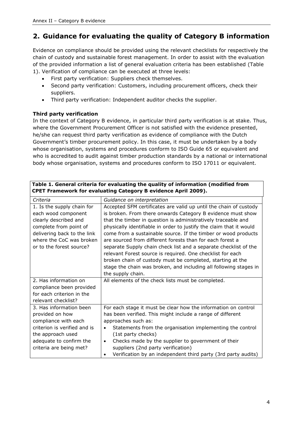# <span id="page-4-0"></span>**2. Guidance for evaluating the quality of Category B information**

Evidence on compliance should be provided using the relevant checklists for respectively the chain of custody and sustainable forest management. In order to assist with the evaluation of the provided information a list of general evaluation criteria has been established (Table 1). Verification of compliance can be executed at three levels:

- First party verification: Suppliers check themselves.
- Second party verification: Customers, including procurement officers, check their suppliers.
- Third party verification: Independent auditor checks the supplier.

## **Third party verification**

In the context of Category B evidence, in particular third party verification is at stake. Thus, where the Government Procurement Officer is not satisfied with the evidence presented, he/she can request third party verification as evidence of compliance with the Dutch Government's timber procurement policy. In this case, it must be undertaken by a body whose organisation, systems and procedures conform to ISO Guide 65 or equivalent and who is accredited to audit against timber production standards by a national or international body whose organisation, systems and procedures conform to ISO 17011 or equivalent.

| Criteria                                                                                             | Guidance on interpretation                                                                                                                                                                                                                                                             |
|------------------------------------------------------------------------------------------------------|----------------------------------------------------------------------------------------------------------------------------------------------------------------------------------------------------------------------------------------------------------------------------------------|
| 1. Is the supply chain for<br>each wood component<br>clearly described and<br>complete from point of | Accepted SFM certificates are valid up until the chain of custody<br>is broken. From there onwards Category B evidence must show<br>that the timber in question is administratively traceable and<br>physically identifiable in order to justify the claim that it would               |
| delivering back to the link<br>where the CoC was broken                                              | come from a sustainable source. If the timber or wood products<br>are sourced from different forests than for each forest a                                                                                                                                                            |
| or to the forest source?                                                                             | separate Supply chain check list and a separate checklist of the<br>relevant Forest source is required. One checklist for each<br>broken chain of custody must be completed, starting at the<br>stage the chain was broken, and including all following stages in<br>the supply chain. |
| 2. Has information on                                                                                | All elements of the check lists must be completed.                                                                                                                                                                                                                                     |
| compliance been provided                                                                             |                                                                                                                                                                                                                                                                                        |
| for each criterion in the                                                                            |                                                                                                                                                                                                                                                                                        |
| relevant checklist?                                                                                  |                                                                                                                                                                                                                                                                                        |
| 3. Has information been<br>provided on how<br>compliance with each                                   | For each stage it must be clear how the information on control<br>has been verified. This might include a range of different<br>approaches such as:                                                                                                                                    |
| criterion is verified and is<br>the approach used                                                    | Statements from the organisation implementing the control<br>$\bullet$<br>(1st party checks)                                                                                                                                                                                           |
| adequate to confirm the<br>criteria are being met?                                                   | Checks made by the supplier to government of their<br>$\bullet$<br>suppliers (2nd party verification)<br>Verification by an independent third party (3rd party audits)<br>٠                                                                                                            |

#### **Table 1. General criteria for evaluating the quality of information (modified from CPET Framework for evaluating Category B evidence April 2009).**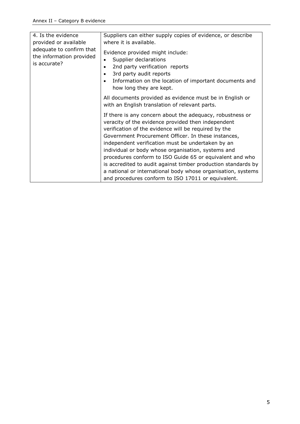<span id="page-5-0"></span>

| 4. Is the evidence<br>provided or available<br>adequate to confirm that<br>the information provided<br>is accurate? | Suppliers can either supply copies of evidence, or describe<br>where it is available.<br>Evidence provided might include:<br>Supplier declarations<br>$\bullet$<br>2nd party verification reports<br>3rd party audit reports<br>$\bullet$<br>Information on the location of important documents and<br>how long they are kept.                                                                                                                                                                                                                                                               |
|---------------------------------------------------------------------------------------------------------------------|----------------------------------------------------------------------------------------------------------------------------------------------------------------------------------------------------------------------------------------------------------------------------------------------------------------------------------------------------------------------------------------------------------------------------------------------------------------------------------------------------------------------------------------------------------------------------------------------|
|                                                                                                                     | All documents provided as evidence must be in English or<br>with an English translation of relevant parts.                                                                                                                                                                                                                                                                                                                                                                                                                                                                                   |
|                                                                                                                     | If there is any concern about the adequacy, robustness or<br>veracity of the evidence provided then independent<br>verification of the evidence will be required by the<br>Government Procurement Officer. In these instances,<br>independent verification must be undertaken by an<br>individual or body whose organisation, systems and<br>procedures conform to ISO Guide 65 or equivalent and who<br>is accredited to audit against timber production standards by<br>a national or international body whose organisation, systems<br>and procedures conform to ISO 17011 or equivalent. |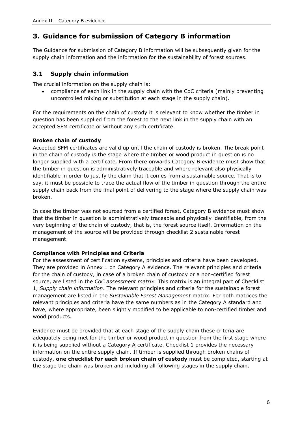# **3. Guidance for submission of Category B information**

The Guidance for submission of Category B information will be subsequently given for the supply chain information and the information for the sustainability of forest sources.

## <span id="page-6-0"></span>**3.1 Supply chain information**

The crucial information on the supply chain is:

 compliance of each link in the supply chain with the CoC criteria (mainly preventing uncontrolled mixing or substitution at each stage in the supply chain).

For the requirements on the chain of custody it is relevant to know whether the timber in question has been supplied from the forest to the next link in the supply chain with an accepted SFM certificate or without any such certificate.

### **Broken chain of custody**

Accepted SFM certificates are valid up until the chain of custody is broken. The break point in the chain of custody is the stage where the timber or wood product in question is no longer supplied with a certificate. From there onwards Category B evidence must show that the timber in question is administratively traceable and where relevant also physically identifiable in order to justify the claim that it comes from a sustainable source. That is to say, it must be possible to trace the actual flow of the timber in question through the entire supply chain back from the final point of delivering to the stage where the supply chain was broken.

In case the timber was not sourced from a certified forest, Category B evidence must show that the timber in question is administratively traceable and physically identifiable, from the very beginning of the chain of custody, that is, the forest source itself. Information on the management of the source will be provided through checklist 2 sustainable forest management.

#### **Compliance with Principles and Criteria**

For the assessment of certification systems, principles and criteria have been developed. They are provided in Annex 1 on Category A evidence. The relevant principles and criteria for the chain of custody, in case of a broken chain of custody or a non-certified forest source, are listed in the *CoC assessment matrix.* This matrix is an integral part of Checklist 1, *Supply chain information*. The relevant principles and criteria for the sustainable forest management are listed in the *Sustainable Forest Management* matrix. For both matrices the relevant principles and criteria have the same numbers as in the Category A standard and have, where appropriate, been slightly modified to be applicable to non-certified timber and wood products.

Evidence must be provided that at each stage of the supply chain these criteria are adequately being met for the timber or wood product in question from the first stage where it is being supplied without a Category A certificate. Checklist 1 provides the necessary information on the entire supply chain. If timber is supplied through broken chains of custody, **one checklist for each broken chain of custody** must be completed, starting at the stage the chain was broken and including all following stages in the supply chain.